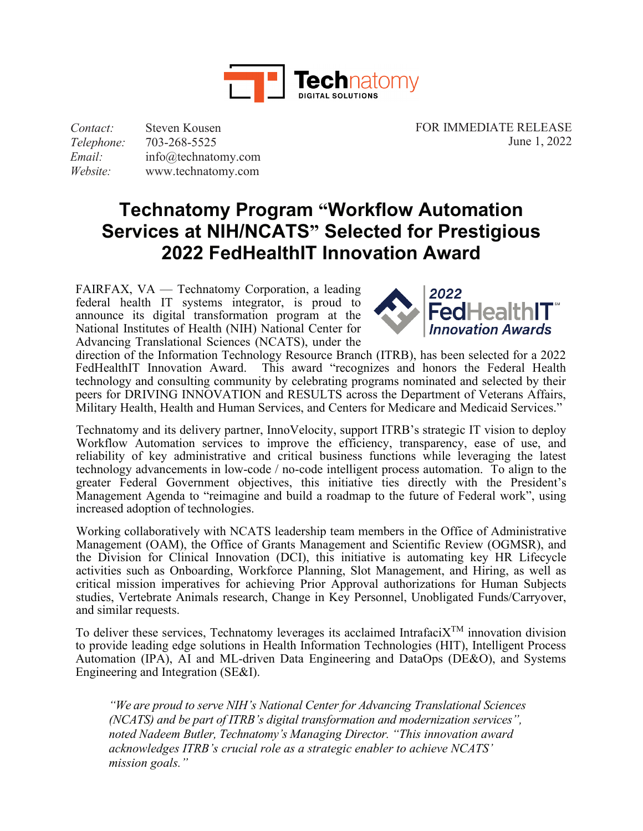

*Contact: Telephone: Email: Website:* Steven Kousen 703-268-5525 [info@technatomy.com](mailto:info@technatomy.com) [www.technatomy.com](http://www.technatomy.com/) FOR IMMEDIATE RELEASE June 1, 2022

## **Technatomy Program "Workflow Automation Services at NIH/NCATS" Selected for Prestigious 2022 FedHealthIT Innovation Award**

FAIRFAX, VA — Technatomy Corporation, a leading federal health IT systems integrator, is proud to announce its digital transformation program at the National Institutes of Health (NIH) National Center for Advancing Translational Sciences (NCATS), under the



direction of the Information Technology Resource Branch (ITRB), has been selected for a 2022 FedHealthIT Innovation Award. This award "recognizes and honors the Federal Health technology and consulting community by celebrating programs nominated and selected by their peers for DRIVING INNOVATION and RESULTS across the Department of Veterans Affairs, Military Health, Health and Human Services, and Centers for Medicare and Medicaid Services."

Technatomy and its delivery partner, InnoVelocity, support ITRB's strategic IT vision to deploy Workflow Automation services to improve the efficiency, transparency, ease of use, and reliability of key administrative and critical business functions while leveraging the latest technology advancements in low-code / no-code intelligent process automation. To align to the greater Federal Government objectives, this initiative ties directly with the President's Management Agenda to "reimagine and build a roadmap to the future of Federal work", using increased adoption of technologies.

Working collaboratively with NCATS leadership team members in the Office of Administrative Management (OAM), the Office of Grants Management and Scientific Review (OGMSR), and the Division for Clinical Innovation (DCI), this initiative is automating key HR Lifecycle activities such as Onboarding, Workforce Planning, Slot Management, and Hiring, as well as critical mission imperatives for achieving Prior Approval authorizations for Human Subjects studies, Vertebrate Animals research, Change in Key Personnel, Unobligated Funds/Carryover, and similar requests.

To deliver these services, Technatomy leverages its acclaimed Intrafaci $X^{TM}$  innovation division to provide leading edge solutions in Health Information Technologies (HIT), Intelligent Process Automation (IPA), AI and ML-driven Data Engineering and DataOps (DE&O), and Systems Engineering and Integration (SE&I).

*"We are proud to serve NIH's National Center for Advancing Translational Sciences (NCATS) and be part of ITRB's digital transformation and modernization services", noted Nadeem Butler, Technatomy's Managing Director. "This innovation award acknowledges ITRB's crucial role as a strategic enabler to achieve NCATS' mission goals."*